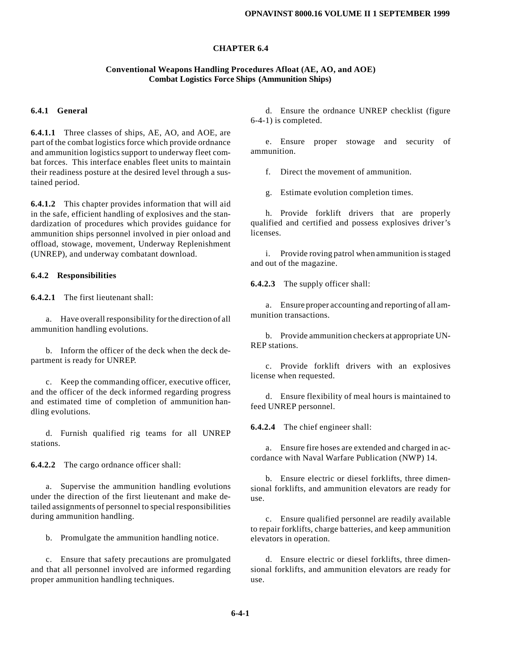#### **CHAPTER 6.4**

#### **Conventional Weapons Handling Procedures Afloat (AE, AO, and AOE) Combat Logistics Force Ships (Ammunition Ships)**

#### **6.4.1 General**

**6.4.1.1** Three classes of ships, AE, AO, and AOE, are part of the combat logistics force which provide ordnance and ammunition logistics support to underway fleet combat forces. This interface enables fleet units to maintain their readiness posture at the desired level through a sustained period.

**6.4.1.2** This chapter provides information that will aid in the safe, efficient handling of explosives and the standardization of procedures which provides guidance for ammunition ships personnel involved in pier onload and offload, stowage, movement, Underway Replenishment (UNREP), and underway combatant download.

#### **6.4.2 Responsibilities**

**6.4.2.1** The first lieutenant shall:

a. Have overall responsibility for the direction of all ammunition handling evolutions.

b. Inform the officer of the deck when the deck department is ready for UNREP.

c. Keep the commanding officer, executive officer, and the officer of the deck informed regarding progress and estimated time of completion of ammunition handling evolutions.

d. Furnish qualified rig teams for all UNREP stations.

**6.4.2.2** The cargo ordnance officer shall:

a. Supervise the ammunition handling evolutions under the direction of the first lieutenant and make detailed assignments of personnel to special responsibilities during ammunition handling.

b. Promulgate the ammunition handling notice.

c. Ensure that safety precautions are promulgated and that all personnel involved are informed regarding proper ammunition handling techniques.

d. Ensure the ordnance UNREP checklist (figure 6-4-1) is completed.

e. Ensure proper stowage and security of ammunition.

f. Direct the movement of ammunition.

g. Estimate evolution completion times.

h. Provide forklift drivers that are properly qualified and certified and possess explosives driver's licenses.

i. Provide roving patrol when ammunition is staged and out of the magazine.

**6.4.2.3** The supply officer shall:

a. Ensure proper accounting and reporting of all ammunition transactions.

b. Provide ammunition checkers at appropriate UN-REP stations.

c. Provide forklift drivers with an explosives license when requested.

d. Ensure flexibility of meal hours is maintained to feed UNREP personnel.

**6.4.2.4** The chief engineer shall:

a. Ensure fire hoses are extended and charged in accordance with Naval Warfare Publication (NWP) 14.

b. Ensure electric or diesel forklifts, three dimensional forklifts, and ammunition elevators are ready for use.

c. Ensure qualified personnel are readily available to repair forklifts, charge batteries, and keep ammunition elevators in operation.

d. Ensure electric or diesel forklifts, three dimensional forklifts, and ammunition elevators are ready for use.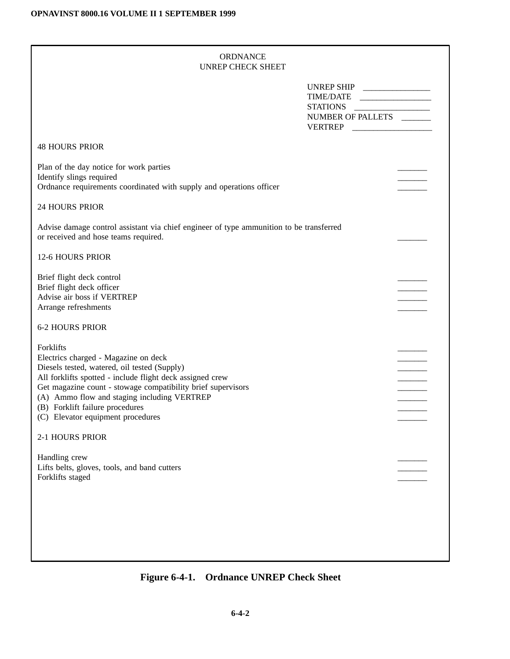| ORDNANCE          |
|-------------------|
| UNREP CHECK SHEET |

| UNREP SHIP _______________<br>STATIONS<br>NUMBER OF PALLETS<br><b>48 HOURS PRIOR</b><br>Plan of the day notice for work parties<br>Identify slings required<br>Ordnance requirements coordinated with supply and operations officer<br><b>24 HOURS PRIOR</b><br>Advise damage control assistant via chief engineer of type ammunition to be transferred<br>or received and hose teams required.<br><b>12-6 HOURS PRIOR</b><br>Brief flight deck control<br>Brief flight deck officer<br>Advise air boss if VERTREP<br>Arrange refreshments<br><b>6-2 HOURS PRIOR</b><br>Forklifts<br>Electrics charged - Magazine on deck<br>Diesels tested, watered, oil tested (Supply)<br>All forklifts spotted - include flight deck assigned crew<br>Get magazine count - stowage compatibility brief supervisors<br>(A) Ammo flow and staging including VERTREP<br>(B) Forklift failure procedures<br>(C) Elevator equipment procedures<br>2-1 HOURS PRIOR<br>Handling crew<br>Lifts belts, gloves, tools, and band cutters<br>Forklifts staged |  |  |
|---------------------------------------------------------------------------------------------------------------------------------------------------------------------------------------------------------------------------------------------------------------------------------------------------------------------------------------------------------------------------------------------------------------------------------------------------------------------------------------------------------------------------------------------------------------------------------------------------------------------------------------------------------------------------------------------------------------------------------------------------------------------------------------------------------------------------------------------------------------------------------------------------------------------------------------------------------------------------------------------------------------------------------------|--|--|
|                                                                                                                                                                                                                                                                                                                                                                                                                                                                                                                                                                                                                                                                                                                                                                                                                                                                                                                                                                                                                                       |  |  |
|                                                                                                                                                                                                                                                                                                                                                                                                                                                                                                                                                                                                                                                                                                                                                                                                                                                                                                                                                                                                                                       |  |  |
|                                                                                                                                                                                                                                                                                                                                                                                                                                                                                                                                                                                                                                                                                                                                                                                                                                                                                                                                                                                                                                       |  |  |
|                                                                                                                                                                                                                                                                                                                                                                                                                                                                                                                                                                                                                                                                                                                                                                                                                                                                                                                                                                                                                                       |  |  |
|                                                                                                                                                                                                                                                                                                                                                                                                                                                                                                                                                                                                                                                                                                                                                                                                                                                                                                                                                                                                                                       |  |  |
|                                                                                                                                                                                                                                                                                                                                                                                                                                                                                                                                                                                                                                                                                                                                                                                                                                                                                                                                                                                                                                       |  |  |
|                                                                                                                                                                                                                                                                                                                                                                                                                                                                                                                                                                                                                                                                                                                                                                                                                                                                                                                                                                                                                                       |  |  |
|                                                                                                                                                                                                                                                                                                                                                                                                                                                                                                                                                                                                                                                                                                                                                                                                                                                                                                                                                                                                                                       |  |  |
|                                                                                                                                                                                                                                                                                                                                                                                                                                                                                                                                                                                                                                                                                                                                                                                                                                                                                                                                                                                                                                       |  |  |
|                                                                                                                                                                                                                                                                                                                                                                                                                                                                                                                                                                                                                                                                                                                                                                                                                                                                                                                                                                                                                                       |  |  |
|                                                                                                                                                                                                                                                                                                                                                                                                                                                                                                                                                                                                                                                                                                                                                                                                                                                                                                                                                                                                                                       |  |  |
|                                                                                                                                                                                                                                                                                                                                                                                                                                                                                                                                                                                                                                                                                                                                                                                                                                                                                                                                                                                                                                       |  |  |

### **Figure 6-4-1. Ordnance UNREP Check Sheet**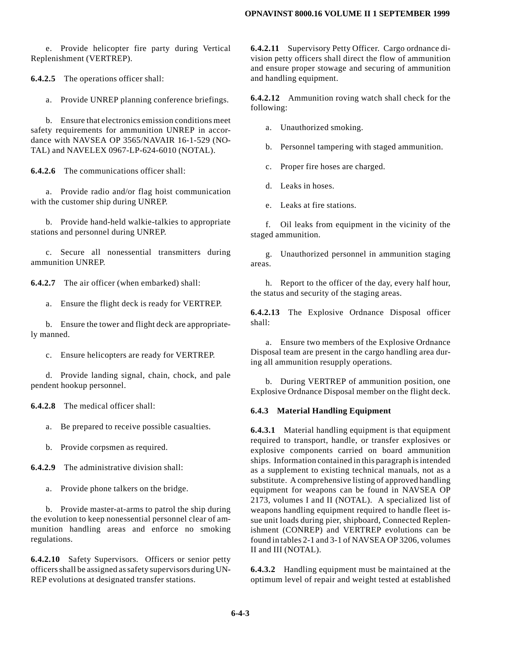e. Provide helicopter fire party during Vertical Replenishment (VERTREP).

**6.4.2.5** The operations officer shall:

a. Provide UNREP planning conference briefings.

b. Ensure that electronics emission conditions meet safety requirements for ammunition UNREP in accordance with NAVSEA OP 3565/NAVAIR 16-1-529 (NO-TAL) and NAVELEX 0967-LP-624-6010 (NOTAL).

**6.4.2.6** The communications officer shall:

a. Provide radio and/or flag hoist communication with the customer ship during UNREP.

b. Provide hand-held walkie-talkies to appropriate stations and personnel during UNREP.

c. Secure all nonessential transmitters during ammunition UNREP.

**6.4.2.7** The air officer (when embarked) shall:

a. Ensure the flight deck is ready for VERTREP.

b. Ensure the tower and flight deck are appropriately manned.

c. Ensure helicopters are ready for VERTREP.

d. Provide landing signal, chain, chock, and pale pendent hookup personnel.

**6.4.2.8** The medical officer shall:

a. Be prepared to receive possible casualties.

b. Provide corpsmen as required.

**6.4.2.9** The administrative division shall:

a. Provide phone talkers on the bridge.

b. Provide master-at-arms to patrol the ship during the evolution to keep nonessential personnel clear of ammunition handling areas and enforce no smoking regulations.

**6.4.2.10** Safety Supervisors. Officers or senior petty officers shall be assigned as safety supervisors during UN-REP evolutions at designated transfer stations.

**6.4.2.11** Supervisory Petty Officer. Cargo ordnance division petty officers shall direct the flow of ammunition and ensure proper stowage and securing of ammunition and handling equipment.

**6.4.2.12** Ammunition roving watch shall check for the following:

a. Unauthorized smoking.

b. Personnel tampering with staged ammunition.

c. Proper fire hoses are charged.

- d. Leaks in hoses.
- e. Leaks at fire stations.

f. Oil leaks from equipment in the vicinity of the staged ammunition.

g. Unauthorized personnel in ammunition staging areas.

h. Report to the officer of the day, every half hour, the status and security of the staging areas.

**6.4.2.13** The Explosive Ordnance Disposal officer shall:

a. Ensure two members of the Explosive Ordnance Disposal team are present in the cargo handling area during all ammunition resupply operations.

b. During VERTREP of ammunition position, one Explosive Ordnance Disposal member on the flight deck.

#### **6.4.3 Material Handling Equipment**

**6.4.3.1** Material handling equipment is that equipment required to transport, handle, or transfer explosives or explosive components carried on board ammunition ships. Information contained in this paragraph is intended as a supplement to existing technical manuals, not as a substitute. A comprehensive listing of approved handling equipment for weapons can be found in NAVSEA OP 2173, volumes I and II (NOTAL). A specialized list of weapons handling equipment required to handle fleet issue unit loads during pier, shipboard, Connected Replenishment (CONREP) and VERTREP evolutions can be found in tables 2-1 and 3-1 of NAVSEA OP 3206, volumes II and III (NOTAL).

**6.4.3.2** Handling equipment must be maintained at the optimum level of repair and weight tested at established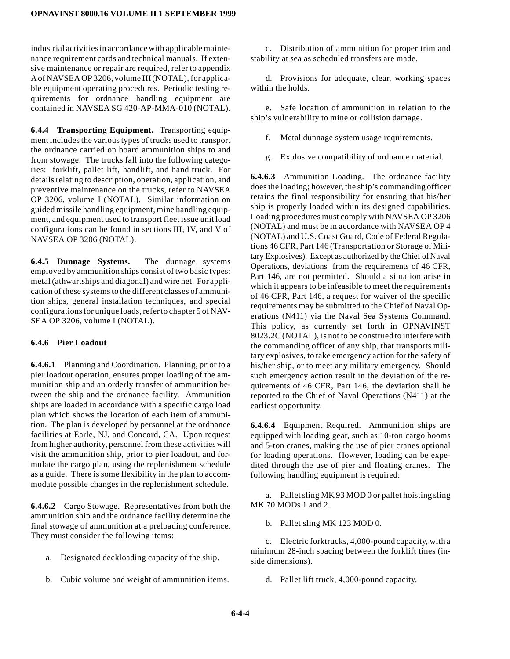industrial activities in accordance with applicable maintenance requirement cards and technical manuals. If extensive maintenance or repair are required, refer to appendix A of NAVSEA OP 3206, volume III (NOTAL), for applicable equipment operating procedures. Periodic testing requirements for ordnance handling equipment are contained in NAVSEA SG 420-AP-MMA-010 (NOTAL).

**6.4.4 Transporting Equipment.** Transporting equipment includes the various types of trucks used to transport the ordnance carried on board ammunition ships to and from stowage. The trucks fall into the following categories: forklift, pallet lift, handlift, and hand truck. For details relating to description, operation, application, and preventive maintenance on the trucks, refer to NAVSEA OP 3206, volume I (NOTAL). Similar information on guided missile handling equipment, mine handling equipment, and equipment used to transport fleet issue unit load configurations can be found in sections III, IV, and V of NAVSEA OP 3206 (NOTAL).

**6.4.5 Dunnage Systems.** The dunnage systems employed by ammunition ships consist of two basic types: metal (athwartships and diagonal) and wire net. For application of these systems to the different classes of ammunition ships, general installation techniques, and special configurations for unique loads, refer to chapter 5 of NAV-SEA OP 3206, volume I (NOTAL).

#### **6.4.6 Pier Loadout**

**6.4.6.1** Planning and Coordination. Planning, prior to a pier loadout operation, ensures proper loading of the ammunition ship and an orderly transfer of ammunition between the ship and the ordnance facility. Ammunition ships are loaded in accordance with a specific cargo load plan which shows the location of each item of ammunition. The plan is developed by personnel at the ordnance facilities at Earle, NJ, and Concord, CA. Upon request from higher authority, personnel from these activities will visit the ammunition ship, prior to pier loadout, and formulate the cargo plan, using the replenishment schedule as a guide. There is some flexibility in the plan to accommodate possible changes in the replenishment schedule.

**6.4.6.2** Cargo Stowage. Representatives from both the ammunition ship and the ordnance facility determine the final stowage of ammunition at a preloading conference. They must consider the following items:

- a. Designated deckloading capacity of the ship.
- b. Cubic volume and weight of ammunition items.

c. Distribution of ammunition for proper trim and stability at sea as scheduled transfers are made.

d. Provisions for adequate, clear, working spaces within the holds.

e. Safe location of ammunition in relation to the ship's vulnerability to mine or collision damage.

- f. Metal dunnage system usage requirements.
- g. Explosive compatibility of ordnance material.

**6.4.6.3** Ammunition Loading. The ordnance facility does the loading; however, the ship's commanding officer retains the final responsibility for ensuring that his/her ship is properly loaded within its designed capabilities. Loading procedures must comply with NAVSEA OP 3206 (NOTAL) and must be in accordance with NAVSEA OP 4 (NOTAL) and U.S. Coast Guard, Code of Federal Regulations 46 CFR, Part 146 (Transportation or Storage of Military Explosives). Except as authorized by the Chief of Naval Operations, deviations from the requirements of 46 CFR, Part 146, are not permitted. Should a situation arise in which it appears to be infeasible to meet the requirements of 46 CFR, Part 146, a request for waiver of the specific requirements may be submitted to the Chief of Naval Operations (N411) via the Naval Sea Systems Command. This policy, as currently set forth in OPNAVINST 8023.2C (NOTAL), is not to be construed to interfere with the commanding officer of any ship, that transports military explosives, to take emergency action for the safety of his/her ship, or to meet any military emergency. Should such emergency action result in the deviation of the requirements of 46 CFR, Part 146, the deviation shall be reported to the Chief of Naval Operations (N411) at the earliest opportunity.

**6.4.6.4** Equipment Required. Ammunition ships are equipped with loading gear, such as 10-ton cargo booms and 5-ton cranes, making the use of pier cranes optional for loading operations. However, loading can be expedited through the use of pier and floating cranes. The following handling equipment is required:

a. Pallet sling MK 93 MOD 0 or pallet hoisting sling MK 70 MOD<sub>s</sub> 1 and 2.

b. Pallet sling MK 123 MOD 0.

c. Electric forktrucks, 4,000-pound capacity, with a minimum 28-inch spacing between the forklift tines (inside dimensions).

d. Pallet lift truck, 4,000-pound capacity.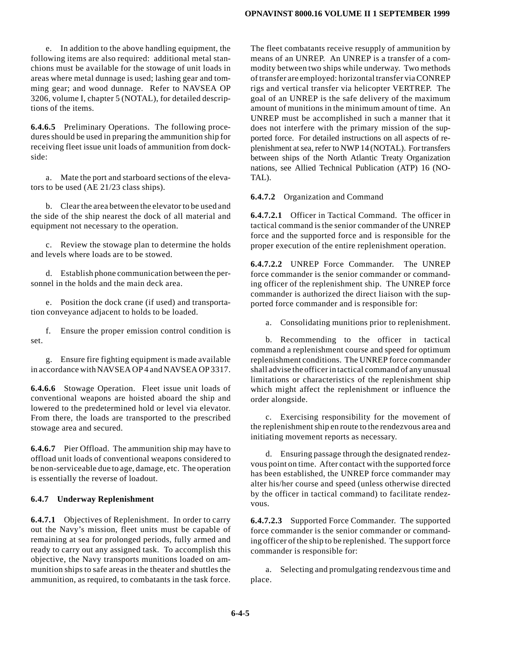e. In addition to the above handling equipment, the following items are also required: additional metal stanchions must be available for the stowage of unit loads in areas where metal dunnage is used; lashing gear and tomming gear; and wood dunnage. Refer to NAVSEA OP 3206, volume I, chapter 5 (NOTAL), for detailed descriptions of the items.

**6.4.6.5** Preliminary Operations. The following procedures should be used in preparing the ammunition ship for receiving fleet issue unit loads of ammunition from dockside:

a. Mate the port and starboard sections of the elevators to be used (AE 21/23 class ships).

b. Clear the area between the elevator to be used and the side of the ship nearest the dock of all material and equipment not necessary to the operation.

c. Review the stowage plan to determine the holds and levels where loads are to be stowed.

d. Establish phone communication between the personnel in the holds and the main deck area.

e. Position the dock crane (if used) and transportation conveyance adjacent to holds to be loaded.

f. Ensure the proper emission control condition is set.

g. Ensure fire fighting equipment is made available in accordance with NAVSEA OP 4 and NAVSEA OP 3317.

**6.4.6.6** Stowage Operation. Fleet issue unit loads of conventional weapons are hoisted aboard the ship and lowered to the predetermined hold or level via elevator. From there, the loads are transported to the prescribed stowage area and secured.

**6.4.6.7** Pier Offload. The ammunition ship may have to offload unit loads of conventional weapons considered to be non-serviceable due to age, damage, etc. The operation is essentially the reverse of loadout.

### **6.4.7 Underway Replenishment**

**6.4.7.1** Objectives of Replenishment. In order to carry out the Navy's mission, fleet units must be capable of remaining at sea for prolonged periods, fully armed and ready to carry out any assigned task. To accomplish this objective, the Navy transports munitions loaded on ammunition ships to safe areas in the theater and shuttles the ammunition, as required, to combatants in the task force.

The fleet combatants receive resupply of ammunition by means of an UNREP. An UNREP is a transfer of a commodity between two ships while underway. Two methods of transfer are employed: horizontal transfer via CONREP rigs and vertical transfer via helicopter VERTREP. The goal of an UNREP is the safe delivery of the maximum amount of munitions in the minimum amount of time. An UNREP must be accomplished in such a manner that it does not interfere with the primary mission of the supported force. For detailed instructions on all aspects of replenishment at sea, refer to NWP 14 (NOTAL). For transfers between ships of the North Atlantic Treaty Organization nations, see Allied Technical Publication (ATP) 16 (NO-TAL).

**6.4.7.2** Organization and Command

**6.4.7.2.1** Officer in Tactical Command. The officer in tactical command is the senior commander of the UNREP force and the supported force and is responsible for the proper execution of the entire replenishment operation.

**6.4.7.2.2** UNREP Force Commander. The UNREP force commander is the senior commander or commanding officer of the replenishment ship. The UNREP force commander is authorized the direct liaison with the supported force commander and is responsible for:

Consolidating munitions prior to replenishment.

b. Recommending to the officer in tactical command a replenishment course and speed for optimum replenishment conditions. The UNREP force commander shall advise the officer in tactical command of any unusual limitations or characteristics of the replenishment ship which might affect the replenishment or influence the order alongside.

c. Exercising responsibility for the movement of the replenishment ship en route to the rendezvous area and initiating movement reports as necessary.

d. Ensuring passage through the designated rendezvous point on time. After contact with the supported force has been established, the UNREP force commander may alter his/her course and speed (unless otherwise directed by the officer in tactical command) to facilitate rendezvous.

**6.4.7.2.3** Supported Force Commander. The supported force commander is the senior commander or commanding officer of the ship to be replenished. The support force commander is responsible for:

a. Selecting and promulgating rendezvous time and place.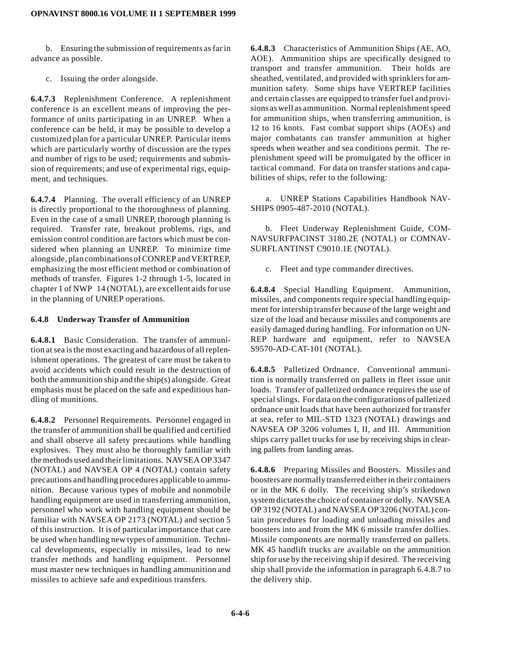b. Ensuring the submission of requirements as far in advance as possible.

c. Issuing the order alongside.

**6.4.7.3** Replenishment Conference. A replenishment conference is an excellent means of improving the performance of units participating in an UNREP. When a conference can be held, it may be possible to develop a customized plan for a particular UNREP. Particular items which are particularly worthy of discussion are the types and number of rigs to be used; requirements and submission of requirements; and use of experimental rigs, equipment, and techniques.

**6.4.7.4** Planning. The overall efficiency of an UNREP is directly proportional to the thoroughness of planning. Even in the case of a small UNREP, thorough planning is required. Transfer rate, breakout problems, rigs, and emission control condition are factors which must be considered when planning an UNREP. To minimize time alongside, plan combinations of CONREP and VERTREP, emphasizing the most efficient method or combination of methods of transfer. Figures 1-2 through 1-5, located in chapter 1 of NWP 14 (NOTAL), are excellent aids for use in the planning of UNREP operations.

#### **6.4.8 Underway Transfer of Ammunition**

**6.4.8.1** Basic Consideration. The transfer of ammunition at sea is the most exacting and hazardous of all replenishment operations. The greatest of care must be taken to avoid accidents which could result in the destruction of both the ammunition ship and the ship(s) alongside. Great emphasis must be placed on the safe and expeditious handling of munitions.

**6.4.8.2** Personnel Requirements. Personnel engaged in the transfer of ammunition shall be qualified and certified and shall observe all safety precautions while handling explosives. They must also be thoroughly familiar with the methods used and their limitations. NAVSEA OP 3347 (NOTAL) and NAVSEA OP 4 (NOTAL) contain safety precautions and handling procedures applicable to ammunition. Because various types of mobile and nonmobile handling equipment are used in transferring ammunition, personnel who work with handling equipment should be familiar with NAVSEA OP 2173 (NOTAL) and section 5 of this instruction. It is of particular importance that care be used when handling new types of ammunition. Technical developments, especially in missiles, lead to new transfer methods and handling equipment. Personnel must master new techniques in handling ammunition and missiles to achieve safe and expeditious transfers.

**6.4.8.3** Characteristics of Ammunition Ships (AE, AO, AOE). Ammunition ships are specifically designed to transport and transfer ammunition. Their holds are sheathed, ventilated, and provided with sprinklers for ammunition safety. Some ships have VERTREP facilities and certain classes are equipped to transfer fuel and provisionsaswell asammunition. Normal replenishment speed for ammunition ships, when transferring ammunition, is 12 to 16 knots. Fast combat support ships (AOEs) and major combatants can transfer ammunition at higher speeds when weather and sea conditions permit. The replenishment speed will be promulgated by the officer in tactical command. For data on transfer stations and capabilities of ships, refer to the following:

a. UNREP Stations Capabilities Handbook NAV-SHIPS 0905-487-2010 (NOTAL).

b. Fleet Underway Replenishment Guide, COM-NAVSURFPACINST 3180.2E (NOTAL) or COMNAV-SURFLANTINST C9010.1E (NOTAL).

c. Fleet and type commander directives.

**6.4.8.4** Special Handling Equipment. Ammunition, missiles, and components require special handling equipment for intership transfer because of the large weight and size of the load and because missiles and components are easily damaged during handling. For information on UN-REP hardware and equipment, refer to NAVSEA S9570-AD-CAT-101 (NOTAL).

**6.4.8.5** Palletized Ordnance. Conventional ammunition is normally transferred on pallets in fleet issue unit loads. Transfer of palletized ordnance requires the use of special slings. For data on the configurations of palletized ordnance unit loads that have been authorized for transfer at sea, refer to MIL-STD 1323 (NOTAL) drawings and NAVSEA OP 3206 volumes I, II, and III. Ammunition ships carry pallet trucks for use by receiving ships in clearing pallets from landing areas.

**6.4.8.6** Preparing Missiles and Boosters. Missiles and boostersare normally transferred either in their containers or in the MK 6 dolly. The receiving ship's strikedown system dictates the choice of container or dolly. NAVSEA OP 3192 (NOTAL) and NAVSEA OP 3206 (NOTAL) contain procedures for loading and unloading missiles and boosters into and from the MK 6 missile transfer dollies. Missile components are normally transferred on pallets. MK 45 handlift trucks are available on the ammunition ship for use by the receiving ship if desired. The receiving ship shall provide the information in paragraph 6.4.8.7 to the delivery ship.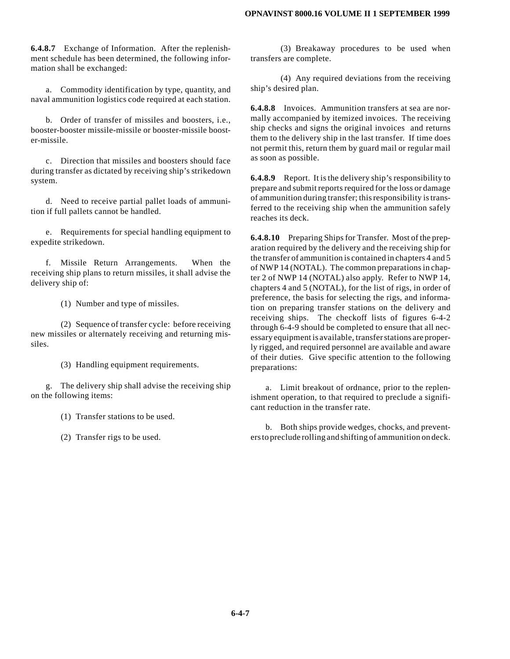#### **OPNAVINST 8000.16 VOLUME II 1 SEPTEMBER 1999**

**6.4.8.7** Exchange of Information. After the replenishment schedule has been determined, the following information shall be exchanged:

a. Commodity identification by type, quantity, and naval ammunition logistics code required at each station.

b. Order of transfer of missiles and boosters, i.e., booster-booster missile-missile or booster-missile booster-missile.

c. Direction that missiles and boosters should face during transfer as dictated by receiving ship's strikedown system.

d. Need to receive partial pallet loads of ammunition if full pallets cannot be handled.

e. Requirements for special handling equipment to expedite strikedown.

f. Missile Return Arrangements. When the receiving ship plans to return missiles, it shall advise the delivery ship of:

(1) Number and type of missiles.

(2) Sequence of transfer cycle: before receiving new missiles or alternately receiving and returning missiles.

(3) Handling equipment requirements.

g. The delivery ship shall advise the receiving ship on the following items:

(1) Transfer stations to be used.

(2) Transfer rigs to be used.

(3) Breakaway procedures to be used when transfers are complete.

(4) Any required deviations from the receiving ship's desired plan.

**6.4.8.8** Invoices. Ammunition transfers at sea are normally accompanied by itemized invoices. The receiving ship checks and signs the original invoices and returns them to the delivery ship in the last transfer. If time does not permit this, return them by guard mail or regular mail as soon as possible.

**6.4.8.9** Report. It is the delivery ship's responsibility to prepare and submit reports required for the loss or damage of ammunition during transfer; this responsibility is transferred to the receiving ship when the ammunition safely reaches its deck.

**6.4.8.10** Preparing Ships for Transfer. Most of the preparation required by the delivery and the receiving ship for the transfer of ammunition is contained in chapters 4 and 5 of NWP 14 (NOTAL). The common preparations in chapter 2 of NWP 14 (NOTAL) also apply. Refer to NWP 14, chapters 4 and 5 (NOTAL), for the list of rigs, in order of preference, the basis for selecting the rigs, and information on preparing transfer stations on the delivery and receiving ships. The checkoff lists of figures 6-4-2 through 6-4-9 should be completed to ensure that all necessary equipment is available, transfer stations are properly rigged, and required personnel are available and aware of their duties. Give specific attention to the following preparations:

a. Limit breakout of ordnance, prior to the replenishment operation, to that required to preclude a significant reduction in the transfer rate.

b. Both ships provide wedges, chocks, and preventersto preclude rolling and shifting of ammunition on deck.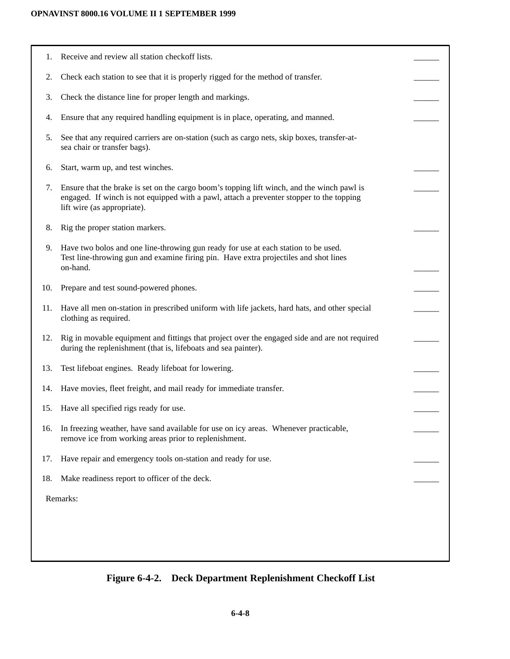| 1.       | Receive and review all station checkoff lists.                                                                                                                                                                        |  |
|----------|-----------------------------------------------------------------------------------------------------------------------------------------------------------------------------------------------------------------------|--|
| 2.       | Check each station to see that it is properly rigged for the method of transfer.                                                                                                                                      |  |
| 3.       | Check the distance line for proper length and markings.                                                                                                                                                               |  |
| 4.       | Ensure that any required handling equipment is in place, operating, and manned.                                                                                                                                       |  |
| 5.       | See that any required carriers are on-station (such as cargo nets, skip boxes, transfer-at-<br>sea chair or transfer bags).                                                                                           |  |
| 6.       | Start, warm up, and test winches.                                                                                                                                                                                     |  |
| 7.       | Ensure that the brake is set on the cargo boom's topping lift winch, and the winch pawl is<br>engaged. If winch is not equipped with a pawl, attach a preventer stopper to the topping<br>lift wire (as appropriate). |  |
| 8.       | Rig the proper station markers.                                                                                                                                                                                       |  |
| 9.       | Have two bolos and one line-throwing gun ready for use at each station to be used.<br>Test line-throwing gun and examine firing pin. Have extra projectiles and shot lines<br>on-hand.                                |  |
| 10.      | Prepare and test sound-powered phones.                                                                                                                                                                                |  |
| 11.      | Have all men on-station in prescribed uniform with life jackets, hard hats, and other special<br>clothing as required.                                                                                                |  |
| 12.      | Rig in movable equipment and fittings that project over the engaged side and are not required<br>during the replenishment (that is, lifeboats and sea painter).                                                       |  |
| 13.      | Test lifeboat engines. Ready lifeboat for lowering.                                                                                                                                                                   |  |
| 14.      | Have movies, fleet freight, and mail ready for immediate transfer.                                                                                                                                                    |  |
| 15.      | Have all specified rigs ready for use.                                                                                                                                                                                |  |
| 16.      | In freezing weather, have sand available for use on icy areas. Whenever practicable,<br>remove ice from working areas prior to replenishment.                                                                         |  |
| 17.      | Have repair and emergency tools on-station and ready for use.                                                                                                                                                         |  |
| 18.      | Make readiness report to officer of the deck.                                                                                                                                                                         |  |
| Remarks: |                                                                                                                                                                                                                       |  |
|          |                                                                                                                                                                                                                       |  |
|          |                                                                                                                                                                                                                       |  |
|          |                                                                                                                                                                                                                       |  |

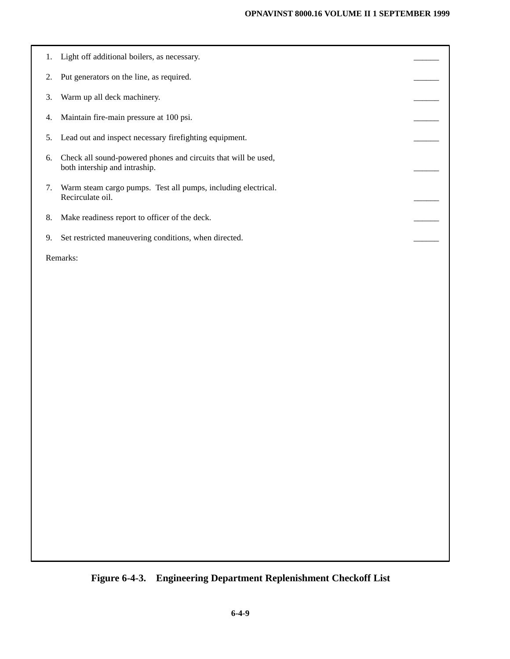|          | 1. Light off additional boilers, as necessary.                                                  |  |
|----------|-------------------------------------------------------------------------------------------------|--|
| 2.       | Put generators on the line, as required.                                                        |  |
| 3.       | Warm up all deck machinery.                                                                     |  |
| 4.       | Maintain fire-main pressure at 100 psi.                                                         |  |
| 5.       | Lead out and inspect necessary firefighting equipment.                                          |  |
| 6.       | Check all sound-powered phones and circuits that will be used,<br>both intership and intraship. |  |
| 7.       | Warm steam cargo pumps. Test all pumps, including electrical.<br>Recirculate oil.               |  |
| 8.       | Make readiness report to officer of the deck.                                                   |  |
| 9.       | Set restricted maneuvering conditions, when directed.                                           |  |
| Remarks: |                                                                                                 |  |

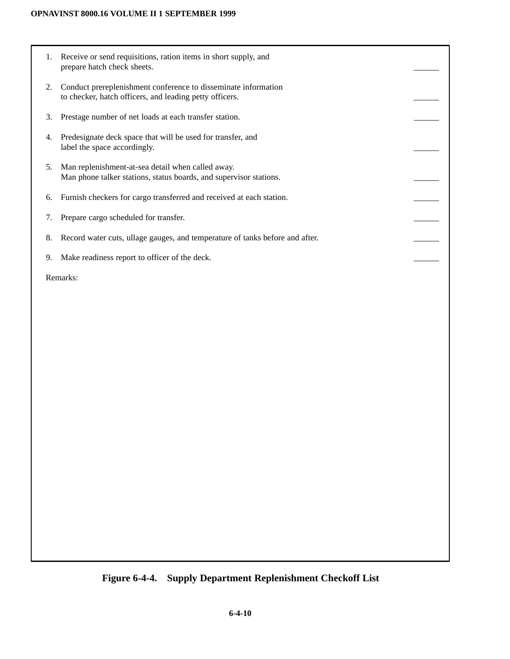- 1. Receive or send requisitions, ration items in short supply, and prepare hatch check sheets.
- 2. Conduct prereplenishment conference to disseminate information to checker, hatch officers, and leading petty officers.
- 3. Prestage number of net loads at each transfer station.
- 4. Predesignate deck space that will be used for transfer, and label the space accordingly.
- 5. Man replenishment-at-sea detail when called away. Man phone talker stations, status boards, and supervisor stations.
- 6. Furnish checkers for cargo transferred and received at each station.
- 7. Prepare cargo scheduled for transfer.
- 8. Record water cuts, ullage gauges, and temperature of tanks before and after.
- 9. Make readiness report to officer of the deck.

Remarks:

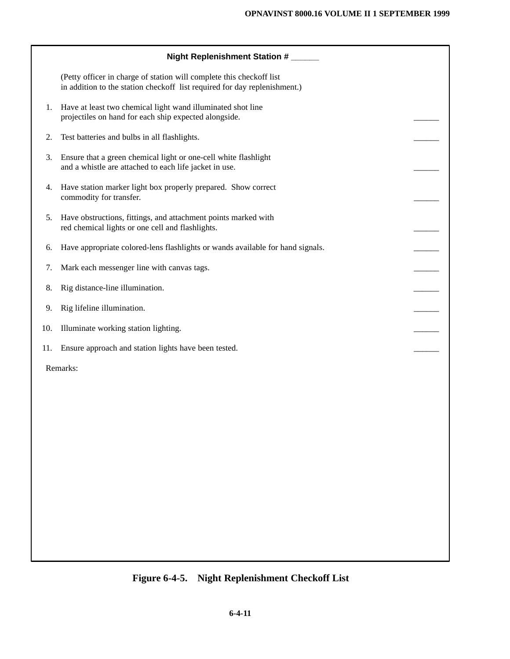|     | Night Replenishment Station #                                                                                                                     |  |
|-----|---------------------------------------------------------------------------------------------------------------------------------------------------|--|
|     | (Petty officer in charge of station will complete this checkoff list<br>in addition to the station checkoff list required for day replenishment.) |  |
| 1.  | Have at least two chemical light wand illuminated shot line<br>projectiles on hand for each ship expected alongside.                              |  |
| 2.  | Test batteries and bulbs in all flashlights.                                                                                                      |  |
| 3.  | Ensure that a green chemical light or one-cell white flashlight<br>and a whistle are attached to each life jacket in use.                         |  |
| 4.  | Have station marker light box properly prepared. Show correct<br>commodity for transfer.                                                          |  |
| 5.  | Have obstructions, fittings, and attachment points marked with<br>red chemical lights or one cell and flashlights.                                |  |
| 6.  | Have appropriate colored-lens flashlights or wands available for hand signals.                                                                    |  |
| 7.  | Mark each messenger line with canvas tags.                                                                                                        |  |
| 8.  | Rig distance-line illumination.                                                                                                                   |  |
| 9.  | Rig lifeline illumination.                                                                                                                        |  |
| 10. | Illuminate working station lighting.                                                                                                              |  |
| 11. | Ensure approach and station lights have been tested.                                                                                              |  |
|     | Remarks:                                                                                                                                          |  |
|     |                                                                                                                                                   |  |
|     |                                                                                                                                                   |  |
|     |                                                                                                                                                   |  |
|     |                                                                                                                                                   |  |
|     |                                                                                                                                                   |  |
|     |                                                                                                                                                   |  |

# **Figure 6-4-5. Night Replenishment Checkoff List**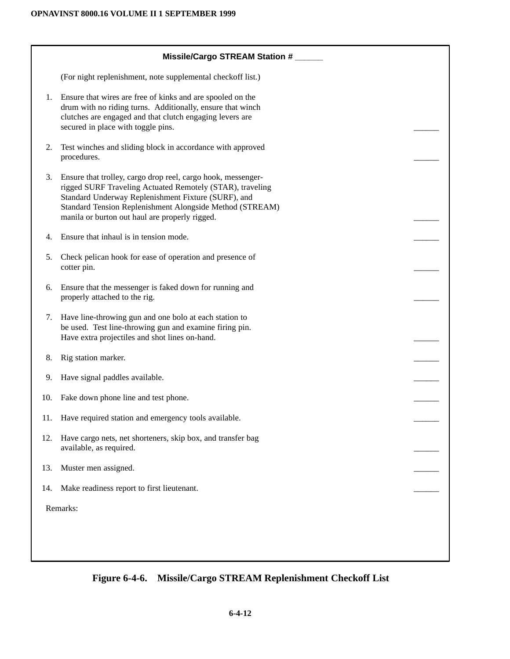|     | Missile/Cargo STREAM Station #                                                                                                                                                                                                                                                                 |  |  |
|-----|------------------------------------------------------------------------------------------------------------------------------------------------------------------------------------------------------------------------------------------------------------------------------------------------|--|--|
|     | (For night replenishment, note supplemental checkoff list.)                                                                                                                                                                                                                                    |  |  |
| 1.  | Ensure that wires are free of kinks and are spooled on the<br>drum with no riding turns. Additionally, ensure that winch<br>clutches are engaged and that clutch engaging levers are<br>secured in place with toggle pins.                                                                     |  |  |
| 2.  | Test winches and sliding block in accordance with approved<br>procedures.                                                                                                                                                                                                                      |  |  |
| 3.  | Ensure that trolley, cargo drop reel, cargo hook, messenger-<br>rigged SURF Traveling Actuated Remotely (STAR), traveling<br>Standard Underway Replenishment Fixture (SURF), and<br>Standard Tension Replenishment Alongside Method (STREAM)<br>manila or burton out haul are properly rigged. |  |  |
| 4.  | Ensure that inhaul is in tension mode.                                                                                                                                                                                                                                                         |  |  |
| 5.  | Check pelican hook for ease of operation and presence of<br>cotter pin.                                                                                                                                                                                                                        |  |  |
| 6.  | Ensure that the messenger is faked down for running and<br>properly attached to the rig.                                                                                                                                                                                                       |  |  |
| 7.  | Have line-throwing gun and one bolo at each station to<br>be used. Test line-throwing gun and examine firing pin.<br>Have extra projectiles and shot lines on-hand.                                                                                                                            |  |  |
| 8.  | Rig station marker.                                                                                                                                                                                                                                                                            |  |  |
| 9.  | Have signal paddles available.                                                                                                                                                                                                                                                                 |  |  |
| 10. | Fake down phone line and test phone.                                                                                                                                                                                                                                                           |  |  |
|     | 11. Have required station and emergency tools available.                                                                                                                                                                                                                                       |  |  |
| 12. | Have cargo nets, net shorteners, skip box, and transfer bag<br>available, as required.                                                                                                                                                                                                         |  |  |
| 13. | Muster men assigned.                                                                                                                                                                                                                                                                           |  |  |
| 14. | Make readiness report to first lieutenant.                                                                                                                                                                                                                                                     |  |  |
|     | Remarks:                                                                                                                                                                                                                                                                                       |  |  |
|     |                                                                                                                                                                                                                                                                                                |  |  |
|     |                                                                                                                                                                                                                                                                                                |  |  |
|     |                                                                                                                                                                                                                                                                                                |  |  |

**Figure 6-4-6. Missile/Cargo STREAM Replenishment Checkoff List**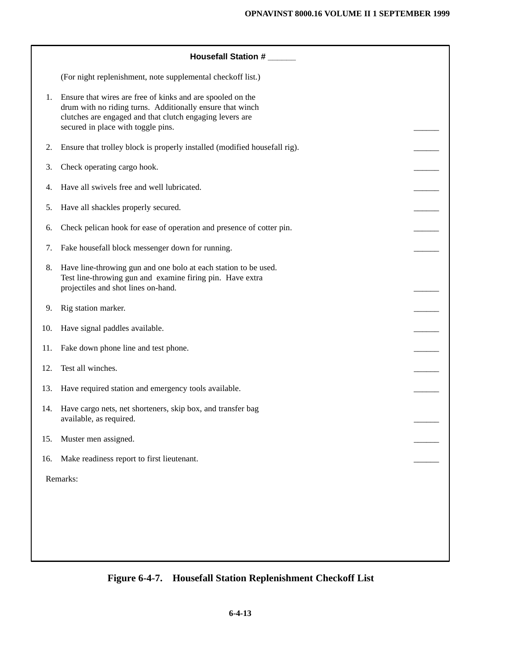|     | Housefall Station #                                                                                                                                                                                                       |  |
|-----|---------------------------------------------------------------------------------------------------------------------------------------------------------------------------------------------------------------------------|--|
|     | (For night replenishment, note supplemental checkoff list.)                                                                                                                                                               |  |
| 1.  | Ensure that wires are free of kinks and are spooled on the<br>drum with no riding turns. Additionally ensure that winch<br>clutches are engaged and that clutch engaging levers are<br>secured in place with toggle pins. |  |
| 2.  | Ensure that trolley block is properly installed (modified housefall rig).                                                                                                                                                 |  |
| 3.  | Check operating cargo hook.                                                                                                                                                                                               |  |
| 4.  | Have all swivels free and well lubricated.                                                                                                                                                                                |  |
| 5.  | Have all shackles properly secured.                                                                                                                                                                                       |  |
| 6.  | Check pelican hook for ease of operation and presence of cotter pin.                                                                                                                                                      |  |
| 7.  | Fake housefall block messenger down for running.                                                                                                                                                                          |  |
| 8.  | Have line-throwing gun and one bolo at each station to be used.<br>Test line-throwing gun and examine firing pin. Have extra<br>projectiles and shot lines on-hand.                                                       |  |
| 9.  | Rig station marker.                                                                                                                                                                                                       |  |
| 10. | Have signal paddles available.                                                                                                                                                                                            |  |
| 11. | Fake down phone line and test phone.                                                                                                                                                                                      |  |
| 12. | Test all winches.                                                                                                                                                                                                         |  |
| 13. | Have required station and emergency tools available.                                                                                                                                                                      |  |
| 14. | Have cargo nets, net shorteners, skip box, and transfer bag<br>available, as required.                                                                                                                                    |  |
| 15. | Muster men assigned.                                                                                                                                                                                                      |  |
| 16. | Make readiness report to first lieutenant.                                                                                                                                                                                |  |
|     | Remarks:                                                                                                                                                                                                                  |  |
|     |                                                                                                                                                                                                                           |  |
|     |                                                                                                                                                                                                                           |  |
|     |                                                                                                                                                                                                                           |  |
|     |                                                                                                                                                                                                                           |  |

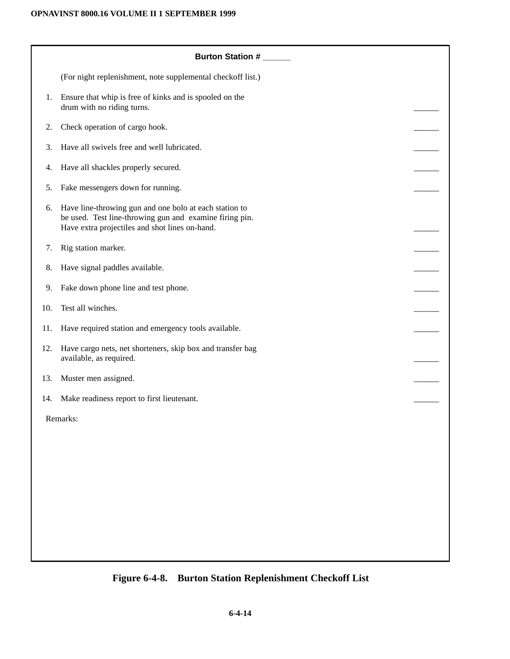|     | Burton Station #                                                                                                                                                    |  |
|-----|---------------------------------------------------------------------------------------------------------------------------------------------------------------------|--|
|     | (For night replenishment, note supplemental checkoff list.)                                                                                                         |  |
| 1.  | Ensure that whip is free of kinks and is spooled on the<br>drum with no riding turns.                                                                               |  |
| 2.  | Check operation of cargo hook.                                                                                                                                      |  |
| 3.  | Have all swivels free and well lubricated.                                                                                                                          |  |
| 4.  | Have all shackles properly secured.                                                                                                                                 |  |
| 5.  | Fake messengers down for running.                                                                                                                                   |  |
| 6.  | Have line-throwing gun and one bolo at each station to<br>be used. Test line-throwing gun and examine firing pin.<br>Have extra projectiles and shot lines on-hand. |  |
| 7.  | Rig station marker.                                                                                                                                                 |  |
| 8.  | Have signal paddles available.                                                                                                                                      |  |
| 9.  | Fake down phone line and test phone.                                                                                                                                |  |
| 10. | Test all winches.                                                                                                                                                   |  |
| 11. | Have required station and emergency tools available.                                                                                                                |  |
| 12. | Have cargo nets, net shorteners, skip box and transfer bag<br>available, as required.                                                                               |  |
| 13. | Muster men assigned.                                                                                                                                                |  |
| 14. | Make readiness report to first lieutenant.                                                                                                                          |  |
|     | Remarks:                                                                                                                                                            |  |
|     |                                                                                                                                                                     |  |
|     |                                                                                                                                                                     |  |
|     |                                                                                                                                                                     |  |
|     |                                                                                                                                                                     |  |
|     |                                                                                                                                                                     |  |

# **Figure 6-4-8. Burton Station Replenishment Checkoff List**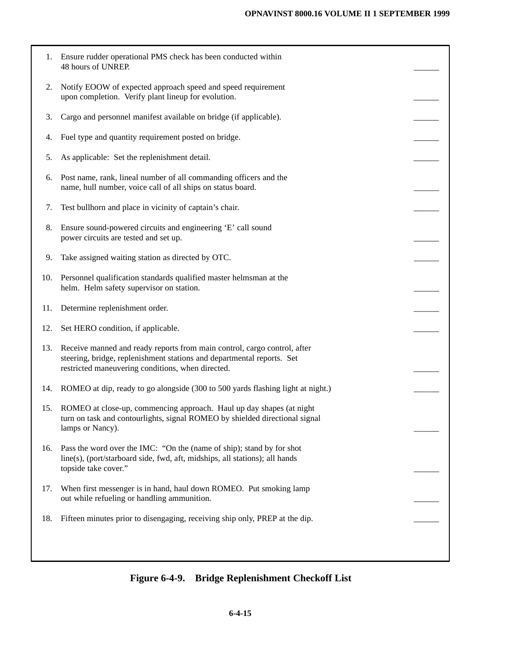| 1.  | Ensure rudder operational PMS check has been conducted within<br>48 hours of UNREP.                                                                                                                     |  |
|-----|---------------------------------------------------------------------------------------------------------------------------------------------------------------------------------------------------------|--|
| 2.  | Notify EOOW of expected approach speed and speed requirement<br>upon completion. Verify plant lineup for evolution.                                                                                     |  |
| 3.  | Cargo and personnel manifest available on bridge (if applicable).                                                                                                                                       |  |
| 4.  | Fuel type and quantity requirement posted on bridge.                                                                                                                                                    |  |
| 5.  | As applicable: Set the replenishment detail.                                                                                                                                                            |  |
| 6.  | Post name, rank, lineal number of all commanding officers and the<br>name, hull number, voice call of all ships on status board.                                                                        |  |
| 7.  | Test bullhorn and place in vicinity of captain's chair.                                                                                                                                                 |  |
| 8.  | Ensure sound-powered circuits and engineering 'E' call sound<br>power circuits are tested and set up.                                                                                                   |  |
| 9.  | Take assigned waiting station as directed by OTC.                                                                                                                                                       |  |
| 10. | Personnel qualification standards qualified master helmsman at the<br>helm. Helm safety supervisor on station.                                                                                          |  |
| 11. | Determine replenishment order.                                                                                                                                                                          |  |
| 12. | Set HERO condition, if applicable.                                                                                                                                                                      |  |
| 13. | Receive manned and ready reports from main control, cargo control, after<br>steering, bridge, replenishment stations and departmental reports. Set<br>restricted maneuvering conditions, when directed. |  |
| 14. | ROMEO at dip, ready to go alongside (300 to 500 yards flashing light at night.)                                                                                                                         |  |
| 15. | ROMEO at close-up, commencing approach. Haul up day shapes (at night<br>turn on task and contourlights, signal ROMEO by shielded directional signal<br>lamps or Nancy).                                 |  |
| 16. | Pass the word over the IMC: "On the (name of ship); stand by for shot<br>line(s), (port/starboard side, fwd, aft, midships, all stations); all hands<br>topside take cover."                            |  |
| 17. | When first messenger is in hand, haul down ROMEO. Put smoking lamp<br>out while refueling or handling ammunition.                                                                                       |  |
| 18. | Fifteen minutes prior to disengaging, receiving ship only, PREP at the dip.                                                                                                                             |  |
|     |                                                                                                                                                                                                         |  |

# **Figure 6-4-9. Bridge Replenishment Checkoff List**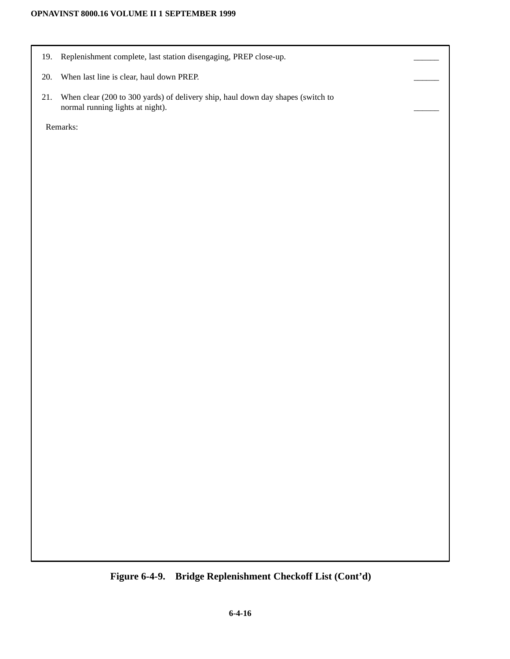### **OPNAVINST 8000.16 VOLUME II 1 SEPTEMBER 1999**

- 19. Replenishment complete, last station disengaging, PREP close-up.
- 20. When last line is clear, haul down PREP.
- 21. When clear (200 to 300 yards) of delivery ship, haul down day shapes (switch to normal running lights at night).

Remarks:

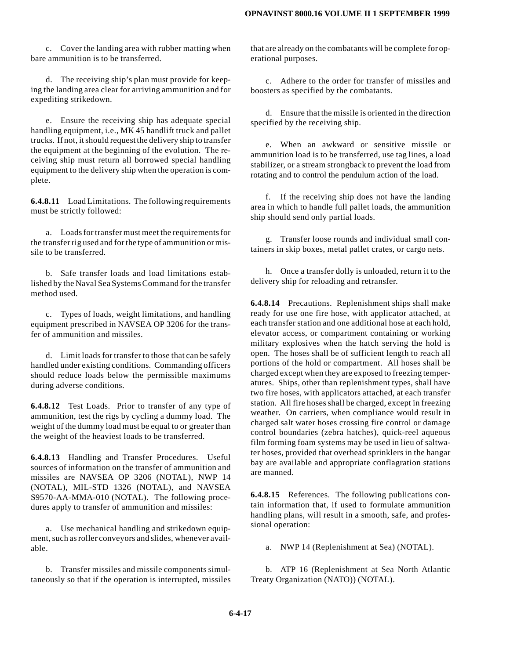c. Cover the landing area with rubber matting when bare ammunition is to be transferred.

d. The receiving ship's plan must provide for keeping the landing area clear for arriving ammunition and for expediting strikedown.

e. Ensure the receiving ship has adequate special handling equipment, i.e., MK 45 handlift truck and pallet trucks. If not, it should request the delivery ship to transfer the equipment at the beginning of the evolution. The receiving ship must return all borrowed special handling equipment to the delivery ship when the operation is complete.

**6.4.8.11** Load Limitations. The following requirements must be strictly followed:

a. Loads for transfer must meet the requirements for the transfer rig used and for the type of ammunition or missile to be transferred.

b. Safe transfer loads and load limitations established by the Naval Sea Systems Command for the transfer method used.

c. Types of loads, weight limitations, and handling equipment prescribed in NAVSEA OP 3206 for the transfer of ammunition and missiles.

d. Limit loads for transfer to those that can be safely handled under existing conditions. Commanding officers should reduce loads below the permissible maximums during adverse conditions.

**6.4.8.12** Test Loads. Prior to transfer of any type of ammunition, test the rigs by cycling a dummy load. The weight of the dummy load must be equal to or greater than the weight of the heaviest loads to be transferred.

**6.4.8.13** Handling and Transfer Procedures. Useful sources of information on the transfer of ammunition and missiles are NAVSEA OP 3206 (NOTAL), NWP 14 (NOTAL), MIL-STD 1326 (NOTAL), and NAVSEA S9570-AA-MMA-010 (NOTAL). The following procedures apply to transfer of ammunition and missiles:

a. Use mechanical handling and strikedown equipment, such as roller conveyors and slides, whenever available.

b. Transfer missiles and missile components simultaneously so that if the operation is interrupted, missiles that are already on the combatants will be complete for operational purposes.

c. Adhere to the order for transfer of missiles and boosters as specified by the combatants.

d. Ensure that the missile is oriented in the direction specified by the receiving ship.

e. When an awkward or sensitive missile or ammunition load is to be transferred, use tag lines, a load stabilizer, or a stream strongback to prevent the load from rotating and to control the pendulum action of the load.

f. If the receiving ship does not have the landing area in which to handle full pallet loads, the ammunition ship should send only partial loads.

g. Transfer loose rounds and individual small containers in skip boxes, metal pallet crates, or cargo nets.

h. Once a transfer dolly is unloaded, return it to the delivery ship for reloading and retransfer.

**6.4.8.14** Precautions. Replenishment ships shall make ready for use one fire hose, with applicator attached, at each transfer station and one additional hose at each hold, elevator access, or compartment containing or working military explosives when the hatch serving the hold is open. The hoses shall be of sufficient length to reach all portions of the hold or compartment. All hoses shall be charged except when they are exposed to freezing temperatures. Ships, other than replenishment types, shall have two fire hoses, with applicators attached, at each transfer station. All fire hoses shall be charged, except in freezing weather. On carriers, when compliance would result in charged salt water hoses crossing fire control or damage control boundaries (zebra hatches), quick-reel aqueous film forming foam systems may be used in lieu of saltwater hoses, provided that overhead sprinklers in the hangar bay are available and appropriate conflagration stations are manned.

**6.4.8.15** References. The following publications contain information that, if used to formulate ammunition handling plans, will result in a smooth, safe, and professional operation:

a. NWP 14 (Replenishment at Sea) (NOTAL).

b. ATP 16 (Replenishment at Sea North Atlantic Treaty Organization (NATO)) (NOTAL).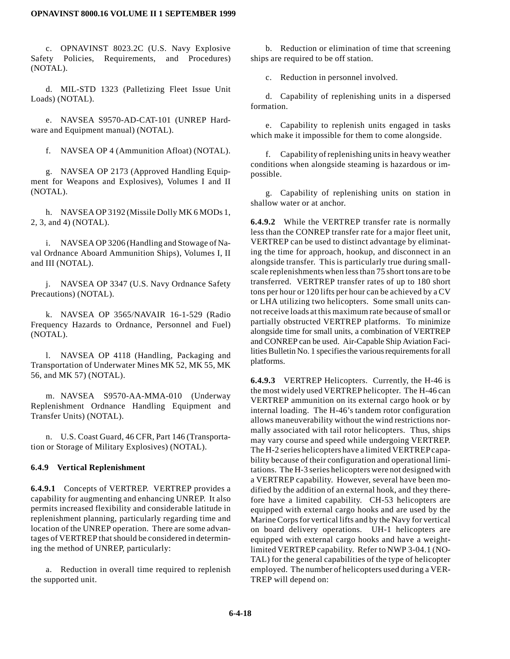c. OPNAVINST 8023.2C (U.S. Navy Explosive Safety Policies, Requirements, and Procedures) (NOTAL).

d. MIL-STD 1323 (Palletizing Fleet Issue Unit Loads) (NOTAL).

e. NAVSEA S9570-AD-CAT-101 (UNREP Hardware and Equipment manual) (NOTAL).

f. NAVSEA OP 4 (Ammunition Afloat) (NOTAL).

g. NAVSEA OP 2173 (Approved Handling Equipment for Weapons and Explosives), Volumes I and II (NOTAL).

h. NAVSEA OP 3192 (Missile Dolly MK 6 MODs 1, 2, 3, and 4) (NOTAL).

i. NAVSEA OP 3206 (Handling and Stowage of Naval Ordnance Aboard Ammunition Ships), Volumes I, II and III (NOTAL).

j. NAVSEA OP 3347 (U.S. Navy Ordnance Safety Precautions) (NOTAL).

k. NAVSEA OP 3565/NAVAIR 16-1-529 (Radio Frequency Hazards to Ordnance, Personnel and Fuel) (NOTAL).

l. NAVSEA OP 4118 (Handling, Packaging and Transportation of Underwater Mines MK 52, MK 55, MK 56, and MK 57) (NOTAL).

m. NAVSEA S9570-AA-MMA-010 (Underway Replenishment Ordnance Handling Equipment and Transfer Units) (NOTAL).

n. U.S. Coast Guard, 46 CFR, Part 146 (Transportation or Storage of Military Explosives) (NOTAL).

#### **6.4.9 Vertical Replenishment**

**6.4.9.1** Concepts of VERTREP. VERTREP provides a capability for augmenting and enhancing UNREP. It also permits increased flexibility and considerable latitude in replenishment planning, particularly regarding time and location of the UNREP operation. There are some advantages of VERTREP that should be considered in determining the method of UNREP, particularly:

a. Reduction in overall time required to replenish the supported unit.

b. Reduction or elimination of time that screening ships are required to be off station.

c. Reduction in personnel involved.

d. Capability of replenishing units in a dispersed formation.

e. Capability to replenish units engaged in tasks which make it impossible for them to come alongside.

f. Capability of replenishing units in heavy weather conditions when alongside steaming is hazardous or impossible.

g. Capability of replenishing units on station in shallow water or at anchor.

**6.4.9.2** While the VERTREP transfer rate is normally less than the CONREP transfer rate for a major fleet unit, VERTREP can be used to distinct advantage by eliminating the time for approach, hookup, and disconnect in an alongside transfer. This is particularly true during smallscale replenishments when less than 75 short tons are to be transferred. VERTREP transfer rates of up to 180 short tons per hour or 120 lifts per hour can be achieved by a CV or LHA utilizing two helicopters. Some small units cannot receive loads at this maximum rate because of small or partially obstructed VERTREP platforms. To minimize alongside time for small units, a combination of VERTREP and CONREP can be used. Air-Capable Ship Aviation Facilities Bulletin No. 1 specifies the various requirements for all platforms.

**6.4.9.3** VERTREP Helicopters. Currently, the H-46 is the most widely used VERTREP helicopter. The H-46 can VERTREP ammunition on its external cargo hook or by internal loading. The H-46's tandem rotor configuration allows maneuverability without the wind restrictions normally associated with tail rotor helicopters. Thus, ships may vary course and speed while undergoing VERTREP. The H-2 series helicopters have a limited VERTREP capability because of their configuration and operational limitations. The H-3 series helicopters were not designed with a VERTREP capability. However, several have been modified by the addition of an external hook, and they therefore have a limited capability. CH-53 helicopters are equipped with external cargo hooks and are used by the Marine Corps for vertical lifts and by the Navy for vertical on board delivery operations. UH-1 helicopters are equipped with external cargo hooks and have a weightlimited VERTREP capability. Refer to NWP 3-04.1 (NO-TAL) for the general capabilities of the type of helicopter employed. The number of helicopters used during a VER-TREP will depend on: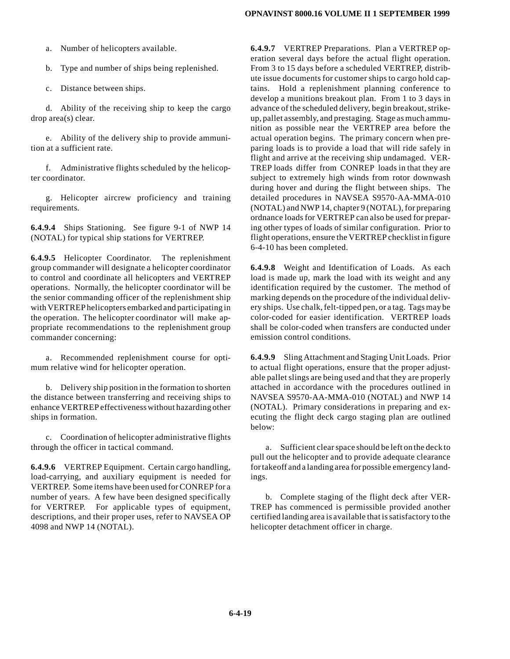a. Number of helicopters available.

b. Type and number of ships being replenished.

c. Distance between ships.

d. Ability of the receiving ship to keep the cargo drop area(s) clear.

e. Ability of the delivery ship to provide ammunition at a sufficient rate.

f. Administrative flights scheduled by the helicopter coordinator.

g. Helicopter aircrew proficiency and training requirements.

**6.4.9.4** Ships Stationing. See figure 9-1 of NWP 14 (NOTAL) for typical ship stations for VERTREP.

**6.4.9.5** Helicopter Coordinator. The replenishment group commander will designate a helicopter coordinator to control and coordinate all helicopters and VERTREP operations. Normally, the helicopter coordinator will be the senior commanding officer of the replenishment ship with VERTREP helicopters embarked and participating in the operation. The helicopter coordinator will make appropriate recommendations to the replenishment group commander concerning:

a. Recommended replenishment course for optimum relative wind for helicopter operation.

b. Delivery ship position in the formation to shorten the distance between transferring and receiving ships to enhance VERTREP effectiveness without hazarding other ships in formation.

c. Coordination of helicopter administrative flights through the officer in tactical command.

**6.4.9.6** VERTREP Equipment. Certain cargo handling, load-carrying, and auxiliary equipment is needed for VERTREP. Some items have been used for CONREP for a number of years. A few have been designed specifically for VERTREP. For applicable types of equipment, descriptions, and their proper uses, refer to NAVSEA OP 4098 and NWP 14 (NOTAL).

**6.4.9.7** VERTREP Preparations. Plan a VERTREP operation several days before the actual flight operation. From 3 to 15 days before a scheduled VERTREP, distribute issue documents for customer ships to cargo hold captains. Hold a replenishment planning conference to develop a munitions breakout plan. From 1 to 3 days in advance of the scheduled delivery, begin breakout, strikeup, pallet assembly, and prestaging. Stage as much ammunition as possible near the VERTREP area before the actual operation begins. The primary concern when preparing loads is to provide a load that will ride safely in flight and arrive at the receiving ship undamaged. VER-TREP loads differ from CONREP loads in that they are subject to extremely high winds from rotor downwash during hover and during the flight between ships. The detailed procedures in NAVSEA S9570-AA-MMA-010 (NOTAL) and NWP 14, chapter 9 (NOTAL), for preparing ordnance loads for VERTREP can also be used for preparing other types of loads of similar configuration. Prior to flight operations, ensure the VERTREP checklist in figure 6-4-10 has been completed.

**6.4.9.8** Weight and Identification of Loads. As each load is made up, mark the load with its weight and any identification required by the customer. The method of marking depends on the procedure of the individual delivery ships. Use chalk, felt-tipped pen, or a tag. Tags may be color-coded for easier identification. VERTREP loads shall be color-coded when transfers are conducted under emission control conditions.

**6.4.9.9** Sling Attachment and Staging Unit Loads. Prior to actual flight operations, ensure that the proper adjustable pallet slings are being used and that they are properly attached in accordance with the procedures outlined in NAVSEA S9570-AA-MMA-010 (NOTAL) and NWP 14 (NOTAL). Primary considerations in preparing and executing the flight deck cargo staging plan are outlined below:

a. Sufficient clear space should be left on the deck to pull out the helicopter and to provide adequate clearance for takeoff and a landing area for possible emergency landings.

b. Complete staging of the flight deck after VER-TREP has commenced is permissible provided another certified landing area is available that is satisfactory to the helicopter detachment officer in charge.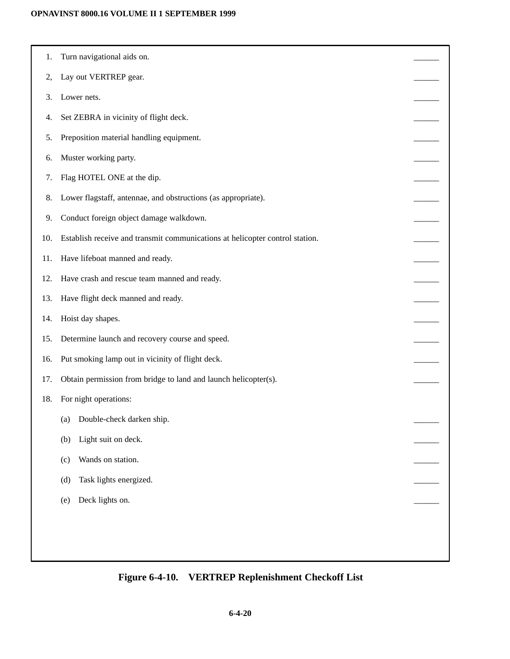### **OPNAVINST 8000.16 VOLUME II 1 SEPTEMBER 1999**

| 1.  | Turn navigational aids on.                                                   |  |
|-----|------------------------------------------------------------------------------|--|
| 2,  | Lay out VERTREP gear.                                                        |  |
| 3.  | Lower nets.                                                                  |  |
| 4.  | Set ZEBRA in vicinity of flight deck.                                        |  |
| 5.  | Preposition material handling equipment.                                     |  |
| 6.  | Muster working party.                                                        |  |
| 7.  | Flag HOTEL ONE at the dip.                                                   |  |
| 8.  | Lower flagstaff, antennae, and obstructions (as appropriate).                |  |
| 9.  | Conduct foreign object damage walkdown.                                      |  |
| 10. | Establish receive and transmit communications at helicopter control station. |  |
| 11. | Have lifeboat manned and ready.                                              |  |
| 12. | Have crash and rescue team manned and ready.                                 |  |
| 13. | Have flight deck manned and ready.                                           |  |
| 14. | Hoist day shapes.                                                            |  |
| 15. | Determine launch and recovery course and speed.                              |  |
| 16. | Put smoking lamp out in vicinity of flight deck.                             |  |
| 17. | Obtain permission from bridge to land and launch helicopter(s).              |  |
| 18. | For night operations:                                                        |  |
|     | (a) Double-check darken ship.                                                |  |
|     | Light suit on deck.<br>(b)                                                   |  |
|     | Wands on station.<br>(c)                                                     |  |
|     | Task lights energized.<br>(d)                                                |  |
|     | Deck lights on.<br>(e)                                                       |  |
|     |                                                                              |  |
|     |                                                                              |  |
|     |                                                                              |  |

# **Figure 6-4-10. VERTREP Replenishment Checkoff List**